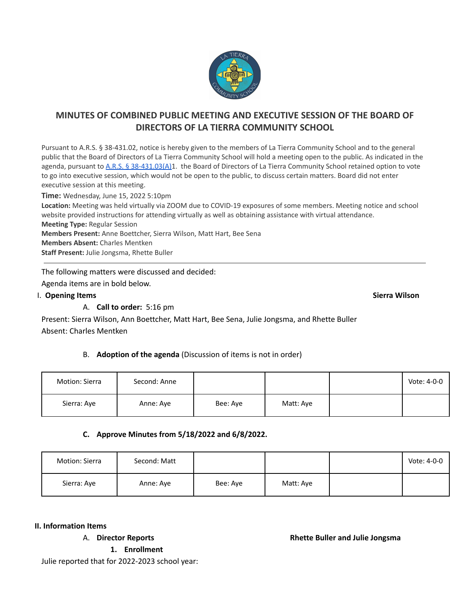

Pursuant to A.R.S. § 38-431.02, notice is hereby given to the members of La Tierra Community School and to the general public that the Board of Directors of La Tierra Community School will hold a meeting open to the public. As indicated in the agenda, pursuant to A.R.S. § [38-431.03\(A\)1](https://www.azleg.gov/ars/38/00431-03.htm). the Board of Directors of La Tierra Community School retained option to vote to go into executive session, which would not be open to the public, to discuss certain matters. Board did not enter executive session at this meeting.

**Time:** Wednesday, June 15, 2022 5:10pm

**Location:** Meeting was held virtually via ZOOM due to COVID-19 exposures of some members. Meeting notice and school website provided instructions for attending virtually as well as obtaining assistance with virtual attendance. **Meeting Type:** Regular Session **Members Present:** Anne Boettcher, Sierra Wilson, Matt Hart, Bee Sena **Members Absent:** Charles Mentken **Staff Present:** Julie Jongsma, Rhette Buller

The following matters were discussed and decided:

Agenda items are in bold below.

### I. **Opening Items Sierra Wilson**

A. **Call to order:** 5:16 pm

Present: Sierra Wilson, Ann Boettcher, Matt Hart, Bee Sena, Julie Jongsma, and Rhette Buller Absent: Charles Mentken

# B. **Adoption of the agenda** (Discussion of items is not in order)

| Motion: Sierra | Second: Anne |          |           | Vote: 4-0-0 |
|----------------|--------------|----------|-----------|-------------|
| Sierra: Aye    | Anne: Aye    | Bee: Aye | Matt: Aye |             |

## **C. Approve Minutes from 5/18/2022 and 6/8/2022.**

| Motion: Sierra | Second: Matt |          |           | Vote: 4-0-0 |
|----------------|--------------|----------|-----------|-------------|
| Sierra: Aye    | Anne: Aye    | Bee: Aye | Matt: Aye |             |

#### **II. Information Items**

**1. Enrollment**

A. **Director Reports Rhette Buller and Julie Jongsma**

Julie reported that for 2022-2023 school year:

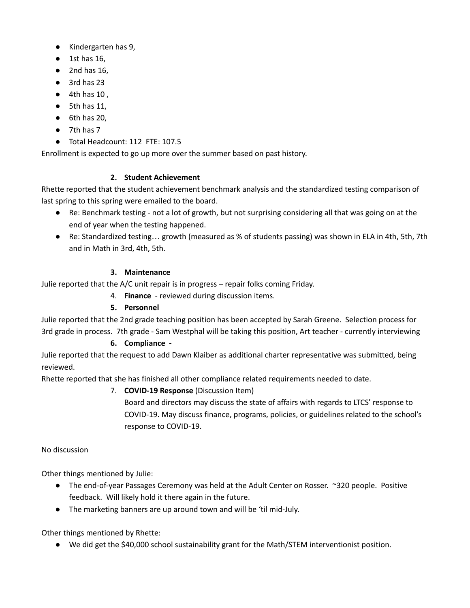- Kindergarten has 9,
- $\bullet$  1st has 16,
- $\bullet$  2nd has 16.
- 3rd has 23
- $\bullet$  4th has 10,
- $\bullet$  5th has 11,
- $\bullet$  6th has 20,
- 7th has 7
- Total Headcount: 112 FTE: 107.5

Enrollment is expected to go up more over the summer based on past history.

# **2. Student Achievement**

Rhette reported that the student achievement benchmark analysis and the standardized testing comparison of last spring to this spring were emailed to the board.

- Re: Benchmark testing not a lot of growth, but not surprising considering all that was going on at the end of year when the testing happened.
- Re: Standardized testing... growth (measured as % of students passing) was shown in ELA in 4th, 5th, 7th and in Math in 3rd, 4th, 5th.

# **3. Maintenance**

Julie reported that the A/C unit repair is in progress – repair folks coming Friday.

- 4. **Finance** reviewed during discussion items.
- **5. Personnel**

Julie reported that the 2nd grade teaching position has been accepted by Sarah Greene. Selection process for 3rd grade in process. 7th grade - Sam Westphal will be taking this position, Art teacher - currently interviewing

# **6. Compliance -**

Julie reported that the request to add Dawn Klaiber as additional charter representative was submitted, being reviewed.

Rhette reported that she has finished all other compliance related requirements needed to date.

# 7. **COVID-19 Response** (Discussion Item)

Board and directors may discuss the state of affairs with regards to LTCS' response to COVID-19. May discuss finance, programs, policies, or guidelines related to the school's response to COVID-19.

## No discussion

Other things mentioned by Julie:

- The end-of-year Passages Ceremony was held at the Adult Center on Rosser. ~320 people. Positive feedback. Will likely hold it there again in the future.
- The marketing banners are up around town and will be 'til mid-July.

Other things mentioned by Rhette:

● We did get the \$40,000 school sustainability grant for the Math/STEM interventionist position.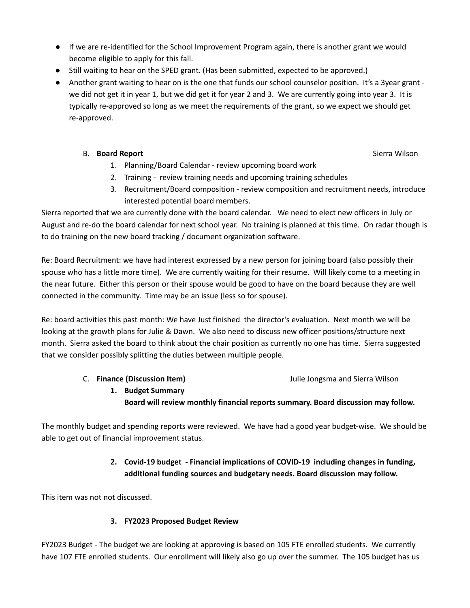- If we are re-identified for the School Improvement Program again, there is another grant we would become eligible to apply for this fall.
- Still waiting to hear on the SPED grant. (Has been submitted, expected to be approved.)
- Another grant waiting to hear on is the one that funds our school counselor position. It's a 3year grant we did not get it in year 1, but we did get it for year 2 and 3. We are currently going into year 3. It is typically re-approved so long as we meet the requirements of the grant, so we expect we should get re-approved.

### B. **Board Report** Sierra Wilson Sierra Wilson Sierra Wilson Sierra Wilson Sierra Wilson

- 1. Planning/Board Calendar review upcoming board work
- 2. Training review training needs and upcoming training schedules
- 3. Recruitment/Board composition review composition and recruitment needs, introduce interested potential board members.

Sierra reported that we are currently done with the board calendar. We need to elect new officers in July or August and re-do the board calendar for next school year. No training is planned at this time. On radar though is to do training on the new board tracking / document organization software.

Re: Board Recruitment: we have had interest expressed by a new person for joining board (also possibly their spouse who has a little more time). We are currently waiting for their resume. Will likely come to a meeting in the near future. Either this person or their spouse would be good to have on the board because they are well connected in the community. Time may be an issue (less so for spouse).

Re: board activities this past month: We have Just finished the director's evaluation. Next month we will be looking at the growth plans for Julie & Dawn. We also need to discuss new officer positions/structure next month. Sierra asked the board to think about the chair position as currently no one has time. Sierra suggested that we consider possibly splitting the duties between multiple people.

C. **Finance (Discussion Item)** Julie Jongsma and Sierra Wilson

**1. Budget Summary**

**Board will review monthly financial reports summary. Board discussion may follow.**

The monthly budget and spending reports were reviewed. We have had a good year budget-wise. We should be able to get out of financial improvement status.

# **2. Covid-19 budget - Financial implications of COVID-19 including changes in funding, additional funding sources and budgetary needs. Board discussion may follow.**

This item was not not discussed.

## **3. FY2023 Proposed Budget Review**

FY2023 Budget - The budget we are looking at approving is based on 105 FTE enrolled students. We currently have 107 FTE enrolled students. Our enrollment will likely also go up over the summer. The 105 budget has us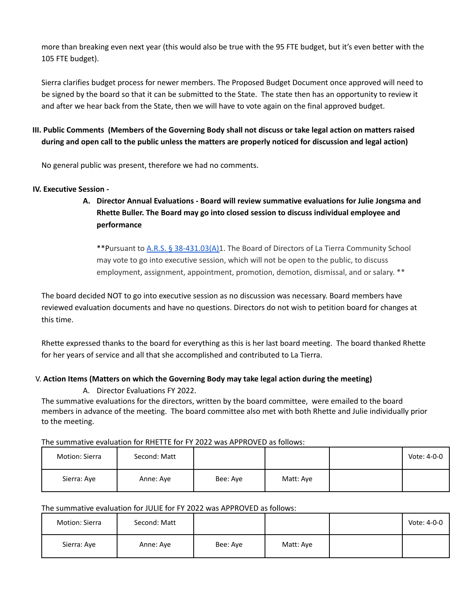more than breaking even next year (this would also be true with the 95 FTE budget, but it's even better with the 105 FTE budget).

Sierra clarifies budget process for newer members. The Proposed Budget Document once approved will need to be signed by the board so that it can be submitted to the State. The state then has an opportunity to review it and after we hear back from the State, then we will have to vote again on the final approved budget.

# III. Public Comments (Members of the Governing Body shall not discuss or take legal action on matters raised during and open call to the public unless the matters are properly noticed for discussion and legal action)

No general public was present, therefore we had no comments.

#### **IV. Executive Session -**

**A. Director Annual Evaluations - Board will review summative evaluations for Julie Jongsma and Rhette Buller. The Board may go into closed session to discuss individual employee and performance**

\*\*Pursuant to A.R.S. § [38-431.03\(A\)1](https://www.azleg.gov/ars/38/00431-03.htm). The Board of Directors of La Tierra Community School may vote to go into executive session, which will not be open to the public, to discuss employment, assignment, appointment, promotion, demotion, dismissal, and or salary. \*\*

The board decided NOT to go into executive session as no discussion was necessary. Board members have reviewed evaluation documents and have no questions. Directors do not wish to petition board for changes at this time.

Rhette expressed thanks to the board for everything as this is her last board meeting. The board thanked Rhette for her years of service and all that she accomplished and contributed to La Tierra.

## V. **Action Items (Matters on which the Governing Body may take legal action during the meeting)**

A. Director Evaluations FY 2022.

The summative evaluations for the directors, written by the board committee, were emailed to the board members in advance of the meeting. The board committee also met with both Rhette and Julie individually prior to the meeting.

| THE JUITING OF EVALUATION INTERTENCE IT LOCK WAS FIT NOVED AS IDITOWS. |              |          |           |  |             |  |
|------------------------------------------------------------------------|--------------|----------|-----------|--|-------------|--|
| Motion: Sierra                                                         | Second: Matt |          |           |  | Vote: 4-0-0 |  |
| Sierra: Aye                                                            | Anne: Aye    | Bee: Aye | Matt: Ave |  |             |  |

The summative evaluation for RHETTE for FY 2022 was APPROVED as follows:

#### The summative evaluation for JULIE for FY 2022 was APPROVED as follows:

| Motion: Sierra | Second: Matt |          |           | Vote: 4-0-0 |
|----------------|--------------|----------|-----------|-------------|
| Sierra: Aye    | Anne: Aye    | Bee: Aye | Matt: Aye |             |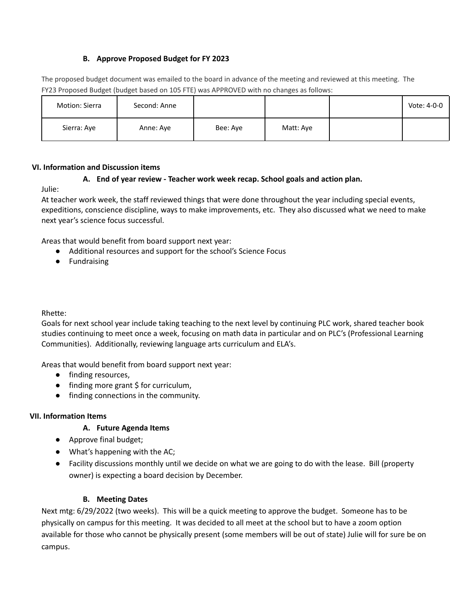## **B. Approve Proposed Budget for FY 2023**

The proposed budget document was emailed to the board in advance of the meeting and reviewed at this meeting. The FY23 Proposed Budget (budget based on 105 FTE) was APPROVED with no changes as follows:

| Motion: Sierra | Second: Anne |          |           | Vote: 4-0-0 |
|----------------|--------------|----------|-----------|-------------|
| Sierra: Aye    | Anne: Aye    | Bee: Aye | Matt: Aye |             |

#### **VI. Information and Discussion items**

#### **A. End of year review - Teacher work week recap. School goals and action plan.**

Julie:

At teacher work week, the staff reviewed things that were done throughout the year including special events, expeditions, conscience discipline, ways to make improvements, etc. They also discussed what we need to make next year's science focus successful.

Areas that would benefit from board support next year:

- Additional resources and support for the school's Science Focus
- Fundraising

#### Rhette:

Goals for next school year include taking teaching to the next level by continuing PLC work, shared teacher book studies continuing to meet once a week, focusing on math data in particular and on PLC's (Professional Learning Communities). Additionally, reviewing language arts curriculum and ELA's.

Areas that would benefit from board support next year:

- finding resources,
- finding more grant \$ for curriculum,
- finding connections in the community.

#### **VII. Information Items**

#### **A. Future Agenda Items**

- Approve final budget;
- What's happening with the AC;
- Facility discussions monthly until we decide on what we are going to do with the lease. Bill (property owner) is expecting a board decision by December.

#### **B. Meeting Dates**

Next mtg: 6/29/2022 (two weeks). This will be a quick meeting to approve the budget. Someone has to be physically on campus for this meeting. It was decided to all meet at the school but to have a zoom option available for those who cannot be physically present (some members will be out of state) Julie will for sure be on campus.